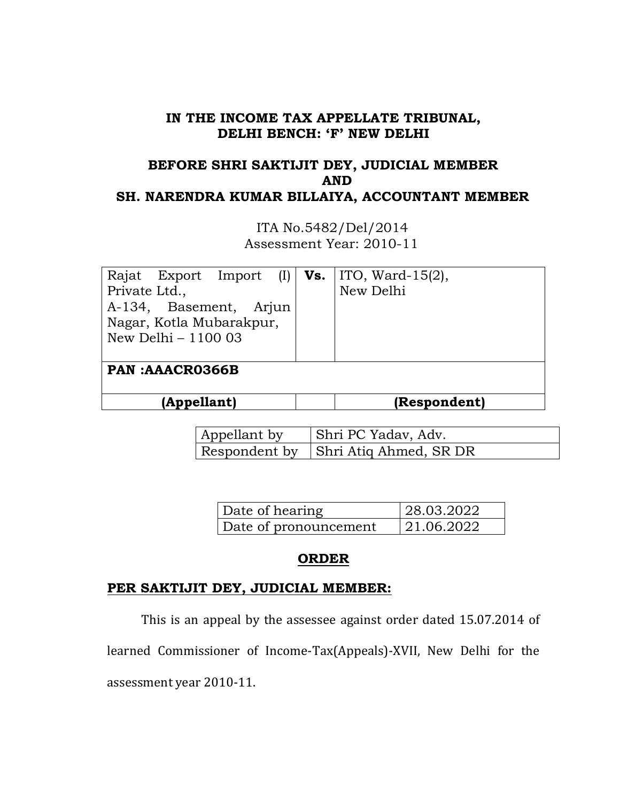#### **IN THE INCOME TAX APPELLATE TRIBUNAL, DELHI BENCH: 'F' NEW DELHI**

# **BEFORE SHRI SAKTIJIT DEY, JUDICIAL MEMBER AND SH. NARENDRA KUMAR BILLAIYA, ACCOUNTANT MEMBER**

 ITA No.5482/Del/2014 Assessment Year: 2010-11

| Rajat Export Import (I)  |  | <b>Vs.</b> $ $ ITO, Ward-15 $(2)$ , |  |  |
|--------------------------|--|-------------------------------------|--|--|
| Private Ltd.,            |  | New Delhi                           |  |  |
| A-134, Basement, Arjun   |  |                                     |  |  |
| Nagar, Kotla Mubarakpur, |  |                                     |  |  |
| New Delhi $-110003$      |  |                                     |  |  |
|                          |  |                                     |  |  |
| <b>PAN:AAACR0366B</b>    |  |                                     |  |  |
|                          |  |                                     |  |  |
| (Appellant)              |  | (Respondent)                        |  |  |

| Appellant by | Shri PC Yadav, Adv.                    |
|--------------|----------------------------------------|
|              | Respondent by   Shri Atiq Ahmed, SR DR |

| Date of hearing       | 28.03.2022 |
|-----------------------|------------|
| Date of pronouncement | 21.06.2022 |

#### **ORDER**

## **PER SAKTIJIT DEY, JUDICIAL MEMBER:**

This is an appeal by the assessee against order dated 15.07.2014 of

learned Commissioner of Income-Tax(Appeals)-XVII, New Delhi for the

assessment year 2010-11.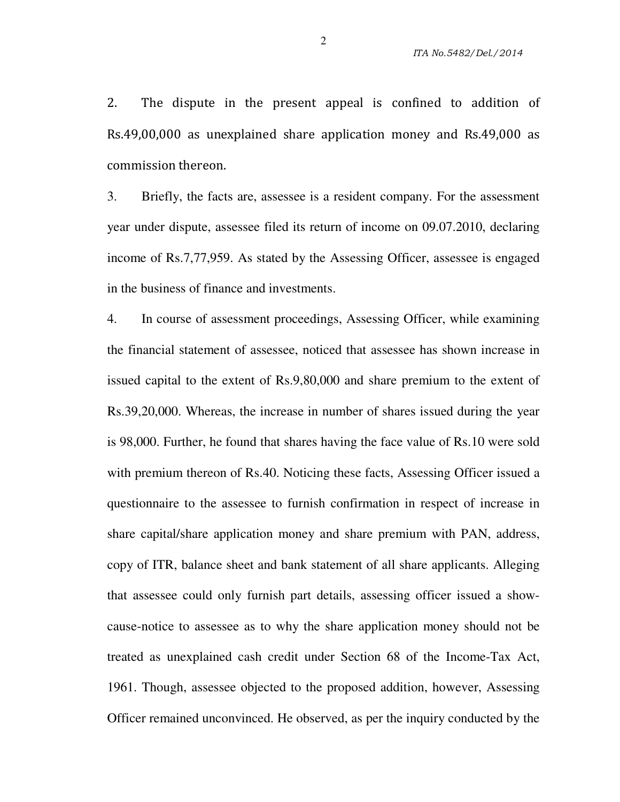2. The dispute in the present appeal is confined to addition of Rs.49,00,000 as unexplained share application money and Rs.49,000 as commission thereon.

3. Briefly, the facts are, assessee is a resident company. For the assessment year under dispute, assessee filed its return of income on 09.07.2010, declaring income of Rs.7,77,959. As stated by the Assessing Officer, assessee is engaged in the business of finance and investments.

4. In course of assessment proceedings, Assessing Officer, while examining the financial statement of assessee, noticed that assessee has shown increase in issued capital to the extent of Rs.9,80,000 and share premium to the extent of Rs.39,20,000. Whereas, the increase in number of shares issued during the year is 98,000. Further, he found that shares having the face value of Rs.10 were sold with premium thereon of Rs.40. Noticing these facts, Assessing Officer issued a questionnaire to the assessee to furnish confirmation in respect of increase in share capital/share application money and share premium with PAN, address, copy of ITR, balance sheet and bank statement of all share applicants. Alleging that assessee could only furnish part details, assessing officer issued a showcause-notice to assessee as to why the share application money should not be treated as unexplained cash credit under Section 68 of the Income-Tax Act, 1961. Though, assessee objected to the proposed addition, however, Assessing Officer remained unconvinced. He observed, as per the inquiry conducted by the

2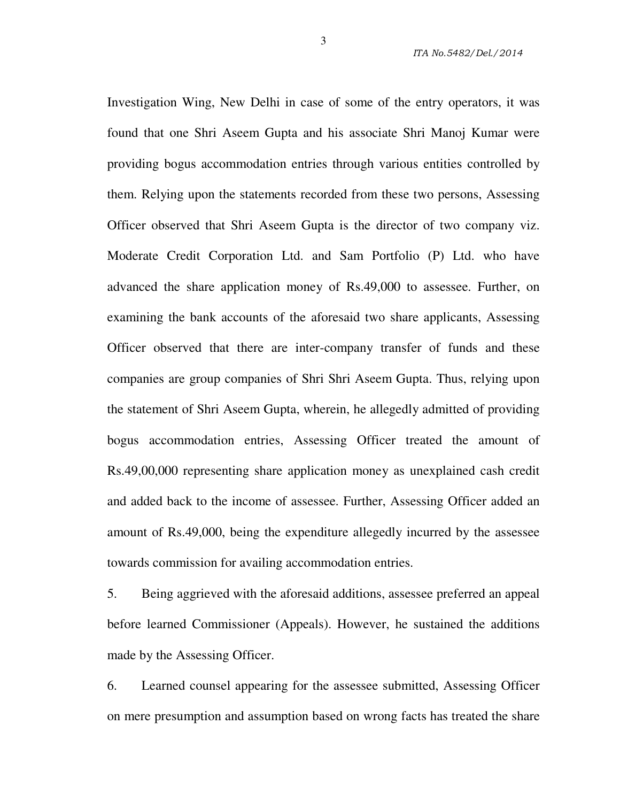Investigation Wing, New Delhi in case of some of the entry operators, it was found that one Shri Aseem Gupta and his associate Shri Manoj Kumar were providing bogus accommodation entries through various entities controlled by them. Relying upon the statements recorded from these two persons, Assessing Officer observed that Shri Aseem Gupta is the director of two company viz. Moderate Credit Corporation Ltd. and Sam Portfolio (P) Ltd. who have advanced the share application money of Rs.49,000 to assessee. Further, on examining the bank accounts of the aforesaid two share applicants, Assessing Officer observed that there are inter-company transfer of funds and these companies are group companies of Shri Shri Aseem Gupta. Thus, relying upon the statement of Shri Aseem Gupta, wherein, he allegedly admitted of providing bogus accommodation entries, Assessing Officer treated the amount of Rs.49,00,000 representing share application money as unexplained cash credit and added back to the income of assessee. Further, Assessing Officer added an amount of Rs.49,000, being the expenditure allegedly incurred by the assessee towards commission for availing accommodation entries.

5. Being aggrieved with the aforesaid additions, assessee preferred an appeal before learned Commissioner (Appeals). However, he sustained the additions made by the Assessing Officer.

6. Learned counsel appearing for the assessee submitted, Assessing Officer on mere presumption and assumption based on wrong facts has treated the share

3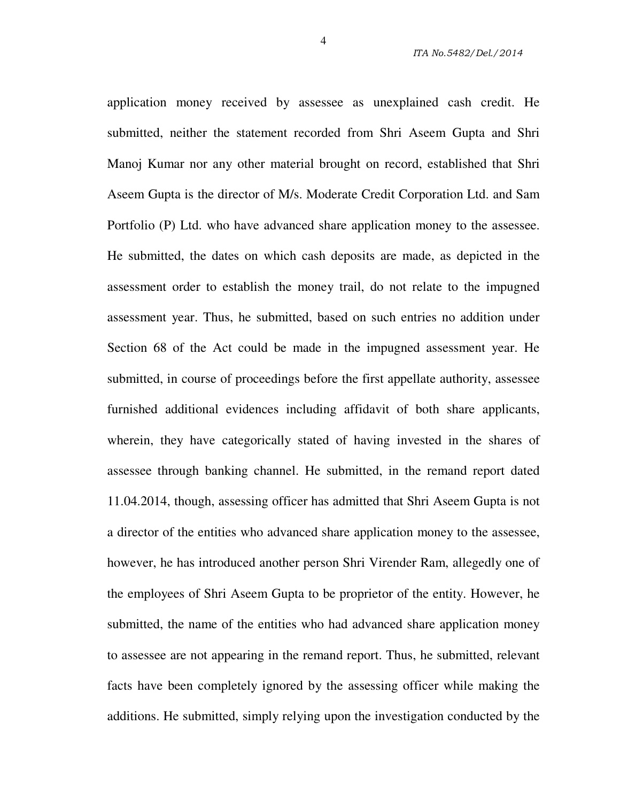application money received by assessee as unexplained cash credit. He submitted, neither the statement recorded from Shri Aseem Gupta and Shri Manoj Kumar nor any other material brought on record, established that Shri Aseem Gupta is the director of M/s. Moderate Credit Corporation Ltd. and Sam Portfolio (P) Ltd. who have advanced share application money to the assessee. He submitted, the dates on which cash deposits are made, as depicted in the assessment order to establish the money trail, do not relate to the impugned assessment year. Thus, he submitted, based on such entries no addition under Section 68 of the Act could be made in the impugned assessment year. He submitted, in course of proceedings before the first appellate authority, assessee furnished additional evidences including affidavit of both share applicants, wherein, they have categorically stated of having invested in the shares of assessee through banking channel. He submitted, in the remand report dated 11.04.2014, though, assessing officer has admitted that Shri Aseem Gupta is not a director of the entities who advanced share application money to the assessee, however, he has introduced another person Shri Virender Ram, allegedly one of the employees of Shri Aseem Gupta to be proprietor of the entity. However, he submitted, the name of the entities who had advanced share application money to assessee are not appearing in the remand report. Thus, he submitted, relevant facts have been completely ignored by the assessing officer while making the additions. He submitted, simply relying upon the investigation conducted by the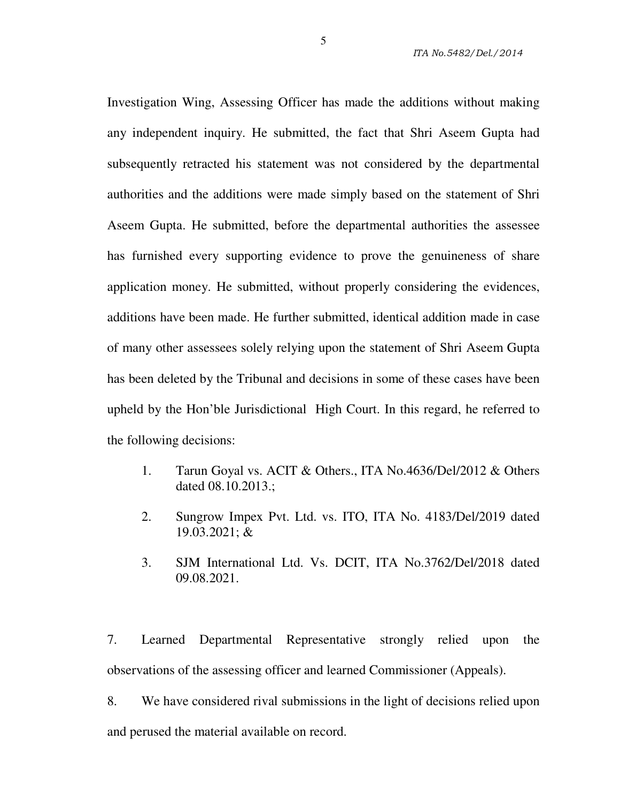Investigation Wing, Assessing Officer has made the additions without making any independent inquiry. He submitted, the fact that Shri Aseem Gupta had subsequently retracted his statement was not considered by the departmental authorities and the additions were made simply based on the statement of Shri Aseem Gupta. He submitted, before the departmental authorities the assessee has furnished every supporting evidence to prove the genuineness of share application money. He submitted, without properly considering the evidences, additions have been made. He further submitted, identical addition made in case of many other assessees solely relying upon the statement of Shri Aseem Gupta has been deleted by the Tribunal and decisions in some of these cases have been upheld by the Hon'ble Jurisdictional High Court. In this regard, he referred to the following decisions:

- 1. Tarun Goyal vs. ACIT & Others., ITA No.4636/Del/2012 & Others dated 08.10.2013.;
- 2. Sungrow Impex Pvt. Ltd. vs. ITO, ITA No. 4183/Del/2019 dated 19.03.2021; &
- 3. SJM International Ltd. Vs. DCIT, ITA No.3762/Del/2018 dated 09.08.2021.

7. Learned Departmental Representative strongly relied upon the observations of the assessing officer and learned Commissioner (Appeals).

8. We have considered rival submissions in the light of decisions relied upon and perused the material available on record.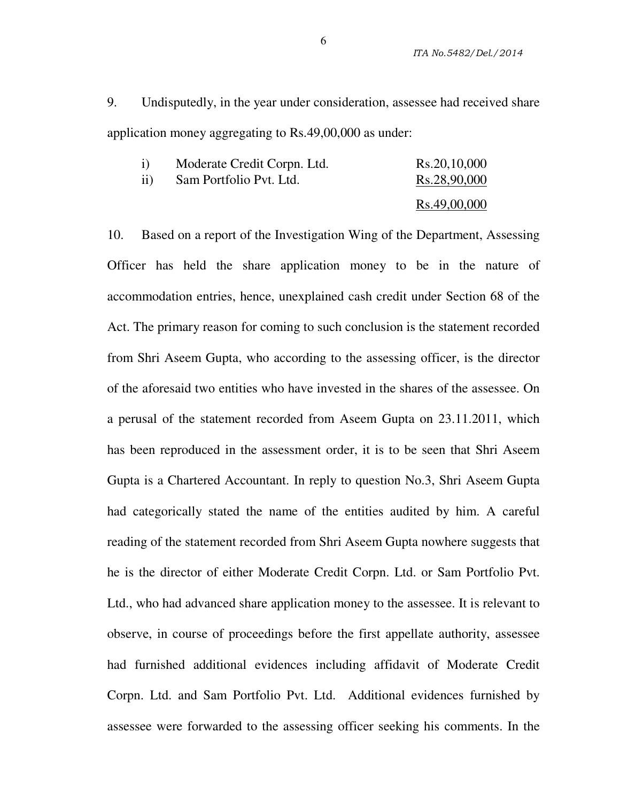9. Undisputedly, in the year under consideration, assessee had received share application money aggregating to Rs.49,00,000 as under:

|     | Moderate Credit Corpn. Ltd. | Rs.20,10,000 |
|-----|-----------------------------|--------------|
| 11) | Sam Portfolio Pvt. Ltd.     | Rs.28,90,000 |
|     |                             | Rs.49,00,000 |

10. Based on a report of the Investigation Wing of the Department, Assessing Officer has held the share application money to be in the nature of accommodation entries, hence, unexplained cash credit under Section 68 of the Act. The primary reason for coming to such conclusion is the statement recorded from Shri Aseem Gupta, who according to the assessing officer, is the director of the aforesaid two entities who have invested in the shares of the assessee. On a perusal of the statement recorded from Aseem Gupta on 23.11.2011, which has been reproduced in the assessment order, it is to be seen that Shri Aseem Gupta is a Chartered Accountant. In reply to question No.3, Shri Aseem Gupta had categorically stated the name of the entities audited by him. A careful reading of the statement recorded from Shri Aseem Gupta nowhere suggests that he is the director of either Moderate Credit Corpn. Ltd. or Sam Portfolio Pvt. Ltd., who had advanced share application money to the assessee. It is relevant to observe, in course of proceedings before the first appellate authority, assessee had furnished additional evidences including affidavit of Moderate Credit Corpn. Ltd. and Sam Portfolio Pvt. Ltd. Additional evidences furnished by assessee were forwarded to the assessing officer seeking his comments. In the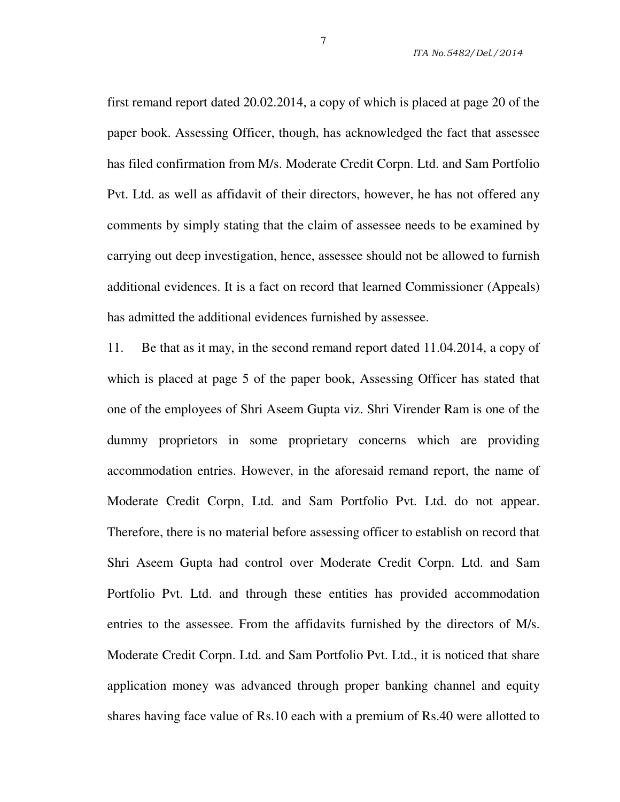first remand report dated 20.02.2014, a copy of which is placed at page 20 of the paper book. Assessing Officer, though, has acknowledged the fact that assessee has filed confirmation from M/s. Moderate Credit Corpn. Ltd. and Sam Portfolio Pvt. Ltd. as well as affidavit of their directors, however, he has not offered any comments by simply stating that the claim of assessee needs to be examined by carrying out deep investigation, hence, assessee should not be allowed to furnish additional evidences. It is a fact on record that learned Commissioner (Appeals) has admitted the additional evidences furnished by assessee.

11. Be that as it may, in the second remand report dated 11.04.2014, a copy of which is placed at page 5 of the paper book, Assessing Officer has stated that one of the employees of Shri Aseem Gupta viz. Shri Virender Ram is one of the dummy proprietors in some proprietary concerns which are providing accommodation entries. However, in the aforesaid remand report, the name of Moderate Credit Corpn, Ltd. and Sam Portfolio Pvt. Ltd. do not appear. Therefore, there is no material before assessing officer to establish on record that Shri Aseem Gupta had control over Moderate Credit Corpn. Ltd. and Sam Portfolio Pvt. Ltd. and through these entities has provided accommodation entries to the assessee. From the affidavits furnished by the directors of M/s. Moderate Credit Corpn. Ltd. and Sam Portfolio Pvt. Ltd., it is noticed that share application money was advanced through proper banking channel and equity shares having face value of Rs.10 each with a premium of Rs.40 were allotted to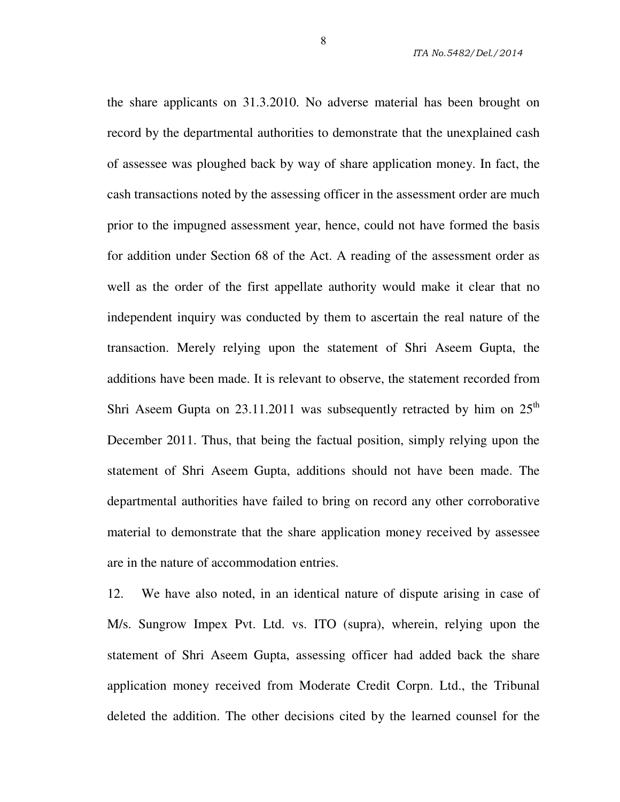the share applicants on 31.3.2010. No adverse material has been brought on record by the departmental authorities to demonstrate that the unexplained cash of assessee was ploughed back by way of share application money. In fact, the cash transactions noted by the assessing officer in the assessment order are much prior to the impugned assessment year, hence, could not have formed the basis for addition under Section 68 of the Act. A reading of the assessment order as well as the order of the first appellate authority would make it clear that no independent inquiry was conducted by them to ascertain the real nature of the transaction. Merely relying upon the statement of Shri Aseem Gupta, the additions have been made. It is relevant to observe, the statement recorded from Shri Aseem Gupta on  $23.11.2011$  was subsequently retracted by him on  $25<sup>th</sup>$ December 2011. Thus, that being the factual position, simply relying upon the statement of Shri Aseem Gupta, additions should not have been made. The departmental authorities have failed to bring on record any other corroborative material to demonstrate that the share application money received by assessee are in the nature of accommodation entries.

12. We have also noted, in an identical nature of dispute arising in case of M/s. Sungrow Impex Pvt. Ltd. vs. ITO (supra), wherein, relying upon the statement of Shri Aseem Gupta, assessing officer had added back the share application money received from Moderate Credit Corpn. Ltd., the Tribunal deleted the addition. The other decisions cited by the learned counsel for the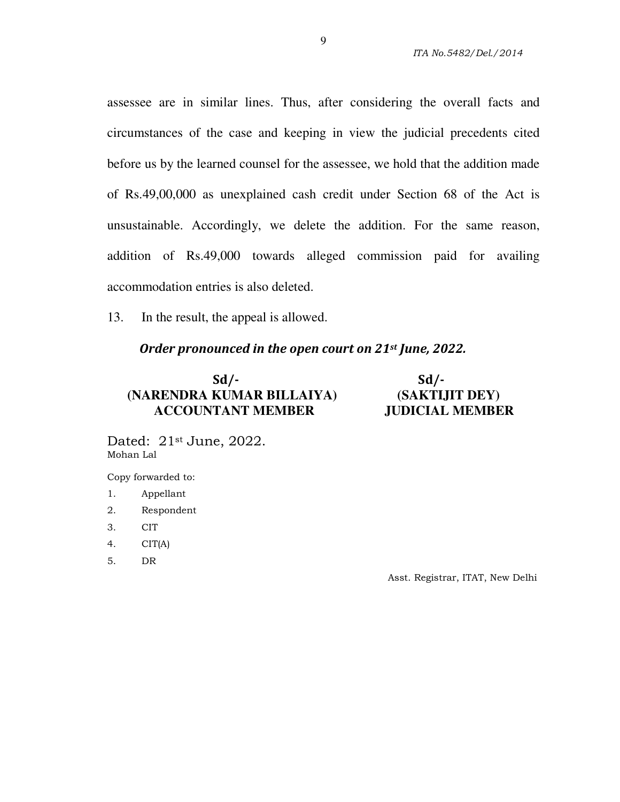assessee are in similar lines. Thus, after considering the overall facts and circumstances of the case and keeping in view the judicial precedents cited before us by the learned counsel for the assessee, we hold that the addition made of Rs.49,00,000 as unexplained cash credit under Section 68 of the Act is unsustainable. Accordingly, we delete the addition. For the same reason, addition of Rs.49,000 towards alleged commission paid for availing accommodation entries is also deleted.

13. In the result, the appeal is allowed.

#### *Order pronounced in the open court on 21st June, 2022.*

## **Sd/- Sd/-**  **(NARENDRA KUMAR BILLAIYA) (SAKTIJIT DEY) ACCOUNTANT MEMBER JUDICIAL MEMBER**

Dated: 21st June, 2022. Mohan Lal

Copy forwarded to:

- 1. Appellant
- 2. Respondent
- 3. CIT
- 4. CIT(A)
- 5. DR

Asst. Registrar, ITAT, New Delhi